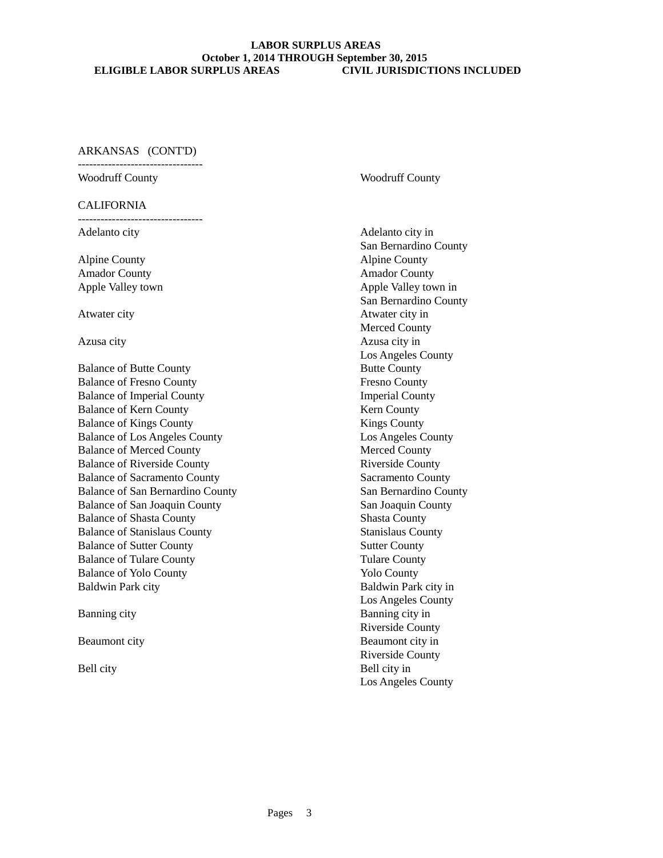#### ARKANSAS (CONT'D)

---------------------------------

### CALIFORNIA

---------------------------------

Alpine County Alpine County Amador County Amador County

Balance of Butte County Butte County Balance of Fresno County Fresno County Balance of Imperial County Imperial County Balance of Kern County **Kern County** Kern County Balance of Kings County Kings County Balance of Los Angeles County Los Angeles County Balance of Merced County Merced County Balance of Riverside County Riverside County Balance of Sacramento County Sacramento County Balance of San Bernardino County San Bernardino County Balance of San Joaquin County San Joaquin County Balance of Shasta County Shasta County Balance of Stanislaus County Stanislaus County Balance of Sutter County Sutter County Balance of Tulare County Tulare County Balance of Yolo County Yolo County Baldwin Park city **Baldwin Park city Baldwin Park city** in

## Woodruff County **Woodruff County**

Adelanto city **Adelanto** city in San Bernardino County Apple Valley town  $\Box$  Apple Valley town in San Bernardino County Atwater city Atwater city in Merced County Azusa city Azusa city in Los Angeles County Los Angeles County Banning city **Banning city** in Riverside County Beaumont city **Beaumont city Beaumont city** in Riverside County Bell city **Bell** city in Los Angeles County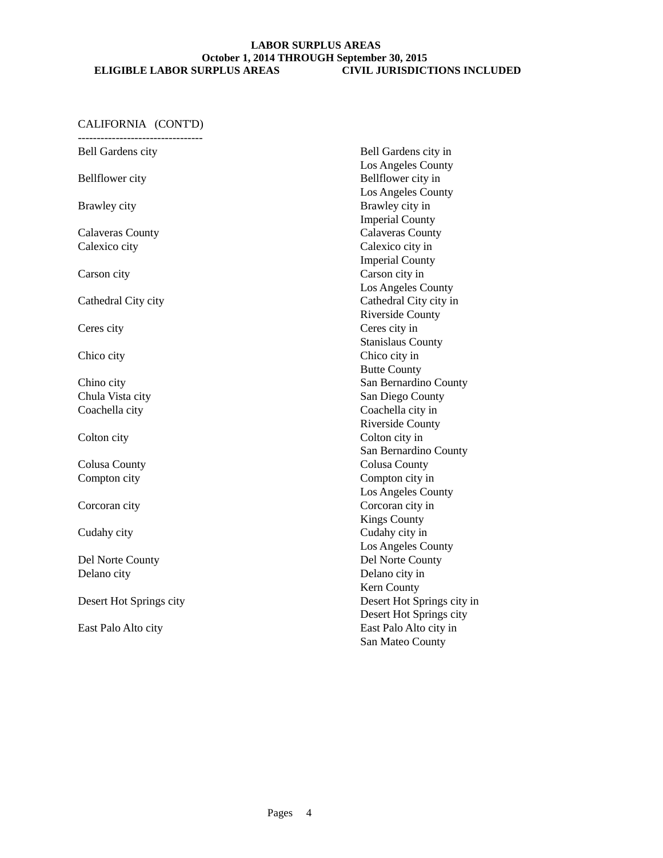| <b>Bell Gardens city</b> | Bell Gardens city in       |
|--------------------------|----------------------------|
|                          | Los Angeles County         |
| <b>Bellflower</b> city   | Bellflower city in         |
|                          | Los Angeles County         |
| Brawley city             | Brawley city in            |
|                          | <b>Imperial County</b>     |
| <b>Calaveras County</b>  | <b>Calaveras County</b>    |
| Calexico city            | Calexico city in           |
|                          | <b>Imperial County</b>     |
| Carson city              | Carson city in             |
|                          | Los Angeles County         |
| Cathedral City city      | Cathedral City city in     |
|                          | <b>Riverside County</b>    |
| Ceres city               | Ceres city in              |
|                          | <b>Stanislaus County</b>   |
| Chico city               | Chico city in              |
|                          | <b>Butte County</b>        |
| Chino city               | San Bernardino County      |
| Chula Vista city         | San Diego County           |
| Coachella city           | Coachella city in          |
|                          | <b>Riverside County</b>    |
| Colton city              | Colton city in             |
|                          | San Bernardino County      |
| <b>Colusa County</b>     | <b>Colusa County</b>       |
| Compton city             | Compton city in            |
|                          | Los Angeles County         |
| Corcoran city            | Corcoran city in           |
|                          | <b>Kings County</b>        |
| Cudahy city              | Cudahy city in             |
|                          | Los Angeles County         |
| Del Norte County         | Del Norte County           |
| Delano city              | Delano city in             |
|                          | Kern County                |
| Desert Hot Springs city  | Desert Hot Springs city in |
|                          | Desert Hot Springs city    |
| East Palo Alto city      | East Palo Alto city in     |
|                          | San Mateo County           |
|                          |                            |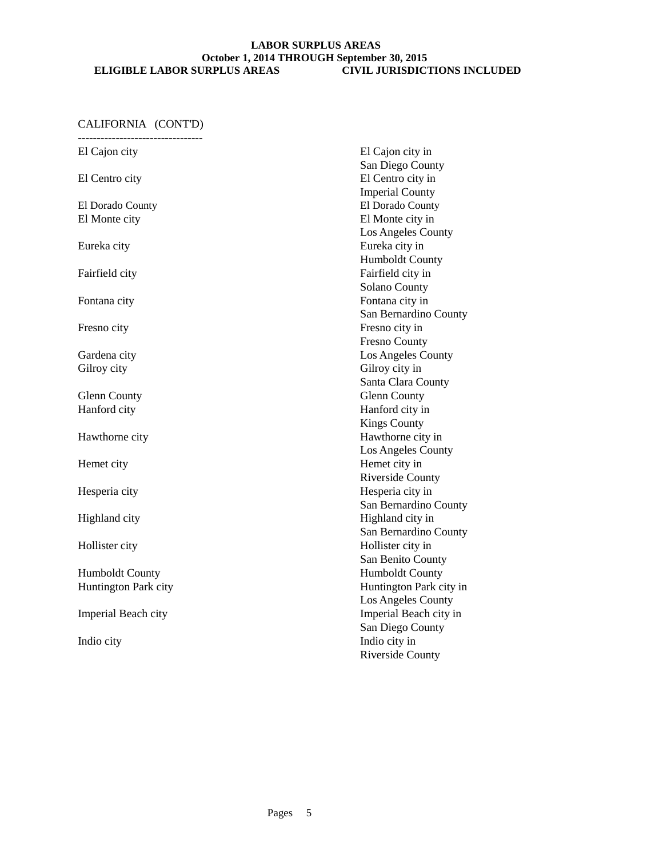| El Cajon city        | El Cajon city in        |
|----------------------|-------------------------|
|                      | San Diego County        |
| El Centro city       | El Centro city in       |
|                      | <b>Imperial County</b>  |
| El Dorado County     | El Dorado County        |
| El Monte city        | El Monte city in        |
|                      | Los Angeles County      |
| Eureka city          | Eureka city in          |
|                      | <b>Humboldt County</b>  |
| Fairfield city       | Fairfield city in       |
|                      | Solano County           |
| Fontana city         | Fontana city in         |
|                      | San Bernardino County   |
| Fresno city          | Fresno city in          |
|                      | <b>Fresno County</b>    |
| Gardena city         | Los Angeles County      |
| Gilroy city          | Gilroy city in          |
|                      | Santa Clara County      |
| <b>Glenn County</b>  | <b>Glenn County</b>     |
| Hanford city         | Hanford city in         |
|                      | <b>Kings County</b>     |
| Hawthorne city       | Hawthorne city in       |
|                      | Los Angeles County      |
| Hemet city           | Hemet city in           |
|                      | <b>Riverside County</b> |
| Hesperia city        | Hesperia city in        |
|                      | San Bernardino County   |
| Highland city        | Highland city in        |
|                      | San Bernardino County   |
| Hollister city       | Hollister city in       |
|                      | San Benito County       |
| Humboldt County      | <b>Humboldt County</b>  |
| Huntington Park city | Huntington Park city in |
|                      | Los Angeles County      |
| Imperial Beach city  | Imperial Beach city in  |
|                      | San Diego County        |
| Indio city           | Indio city in           |
|                      | <b>Riverside County</b> |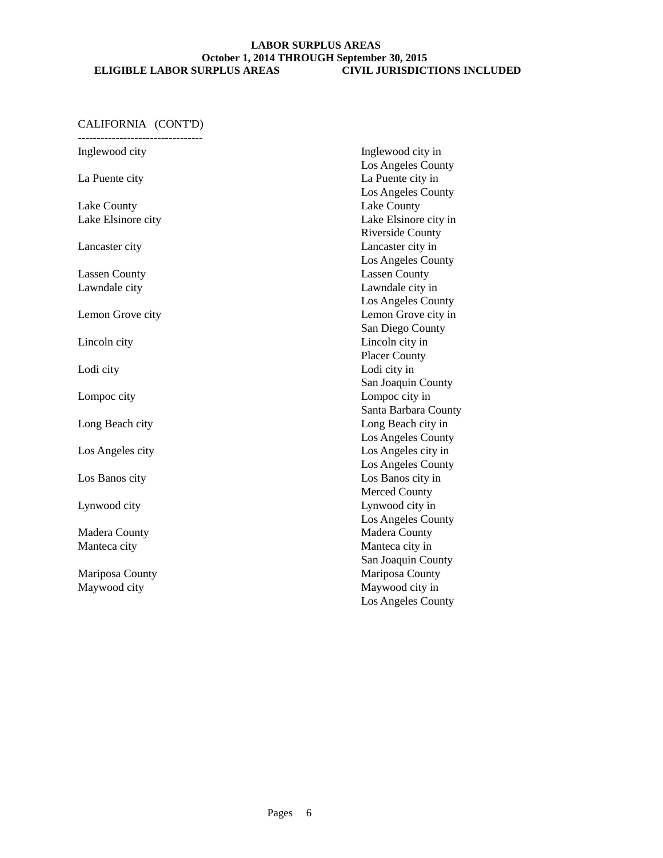| Inglewood city       | Inglewood city in       |
|----------------------|-------------------------|
|                      | Los Angeles County      |
| La Puente city       | La Puente city in       |
|                      | Los Angeles County      |
| Lake County          | Lake County             |
| Lake Elsinore city   | Lake Elsinore city in   |
|                      | <b>Riverside County</b> |
| Lancaster city       | Lancaster city in       |
|                      | Los Angeles County      |
| <b>Lassen County</b> | <b>Lassen County</b>    |
| Lawndale city        | Lawndale city in        |
|                      | Los Angeles County      |
| Lemon Grove city     | Lemon Grove city in     |
|                      | San Diego County        |
| Lincoln city         | Lincoln city in         |
|                      | <b>Placer County</b>    |
| Lodi city            | Lodi city in            |
|                      | San Joaquin County      |
| Lompoc city          | Lompoc city in          |
|                      | Santa Barbara County    |
| Long Beach city      | Long Beach city in      |
|                      | Los Angeles County      |
| Los Angeles city     | Los Angeles city in     |
|                      | Los Angeles County      |
| Los Banos city       | Los Banos city in       |
|                      | <b>Merced County</b>    |
| Lynwood city         | Lynwood city in         |
|                      | Los Angeles County      |
| Madera County        | Madera County           |
| Manteca city         | Manteca city in         |
|                      | San Joaquin County      |
| Mariposa County      | Mariposa County         |
| Maywood city         | Maywood city in         |
|                      | Los Angeles County      |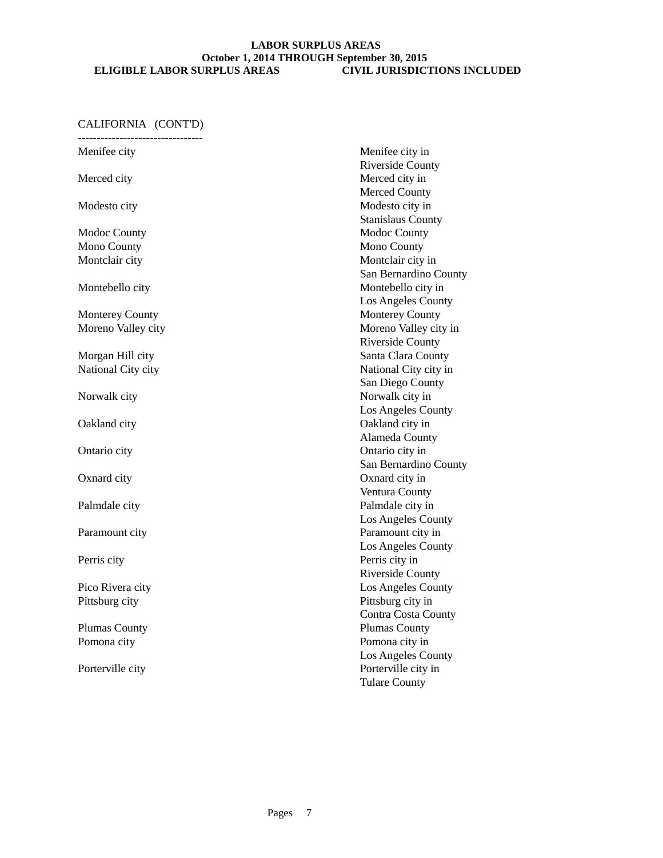## CALIFORNIA (CONT'D)

--------------------------------- Menifee city Menifee city in Riverside County Merced city **Merced** city in Merced County Modesto city Modesto city in Stanislaus County Modoc County Mono County Mono County Montclair city **Montclair city** in San Bernardino County Montebello city Montebello city in Los Angeles County Monterey County **Monterey County** Moreno Valley city **Moreno** Valley city in Riverside County Morgan Hill city Santa Clara County National City city National City city San Diego County Norwalk city Norwalk city in Los Angeles County Oakland city Oakland city in Alameda County Ontario city Ontario city in San Bernardino County Oxnard city Oxnard city in Ventura County Palmdale city **Palmdale city Palmdale city** in Los Angeles County Paramount city **Paramount city** in Los Angeles County Perris city Perris city in Riverside County Pico Rivera city Los Angeles County Pittsburg city Pittsburg city in Contra Costa County Plumas County Plumas County Pomona city Pomona city in Los Angeles County Porterville city Porterville city in

Tulare County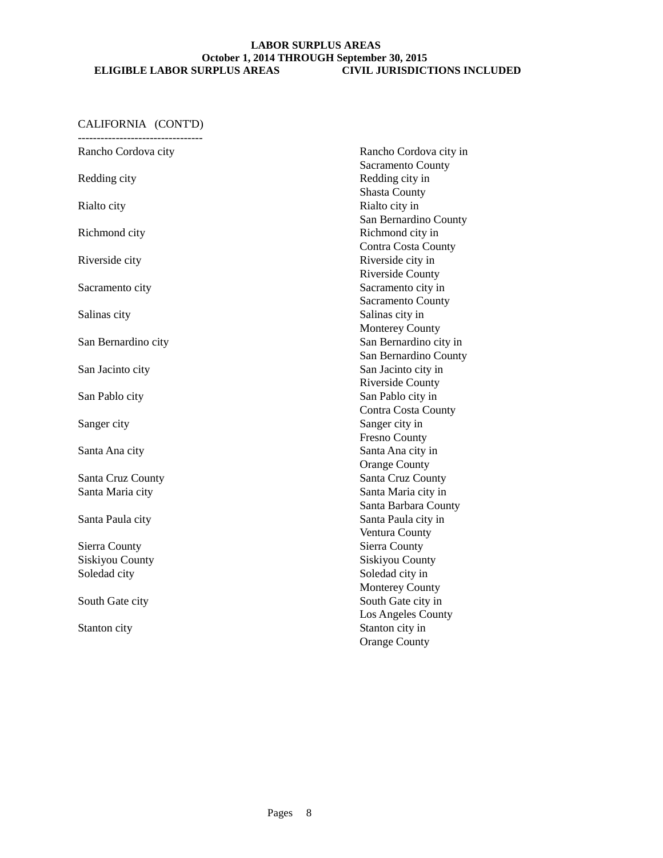| Rancho Cordova city    | Rancho Cordova city in     |
|------------------------|----------------------------|
|                        | Sacramento County          |
| Redding city           | Redding city in            |
|                        | <b>Shasta County</b>       |
| Rialto city            | Rialto city in             |
|                        | San Bernardino County      |
| Richmond city          | Richmond city in           |
|                        | <b>Contra Costa County</b> |
| Riverside city         | Riverside city in          |
|                        | <b>Riverside County</b>    |
| Sacramento city        | Sacramento city in         |
|                        | Sacramento County          |
| Salinas city           | Salinas city in            |
|                        | <b>Monterey County</b>     |
| San Bernardino city    | San Bernardino city in     |
|                        | San Bernardino County      |
| San Jacinto city       | San Jacinto city in        |
|                        | <b>Riverside County</b>    |
| San Pablo city         | San Pablo city in          |
|                        | <b>Contra Costa County</b> |
| Sanger city            | Sanger city in             |
|                        | <b>Fresno County</b>       |
| Santa Ana city         | Santa Ana city in          |
|                        | <b>Orange County</b>       |
| Santa Cruz County      | Santa Cruz County          |
| Santa Maria city       | Santa Maria city in        |
|                        | Santa Barbara County       |
| Santa Paula city       | Santa Paula city in        |
|                        | Ventura County             |
| Sierra County          | Sierra County              |
| <b>Siskiyou County</b> | Siskiyou County            |
| Soledad city           | Soledad city in            |
|                        | <b>Monterey County</b>     |
| South Gate city        | South Gate city in         |
|                        | Los Angeles County         |
| Stanton city           | Stanton city in            |
|                        | <b>Orange County</b>       |